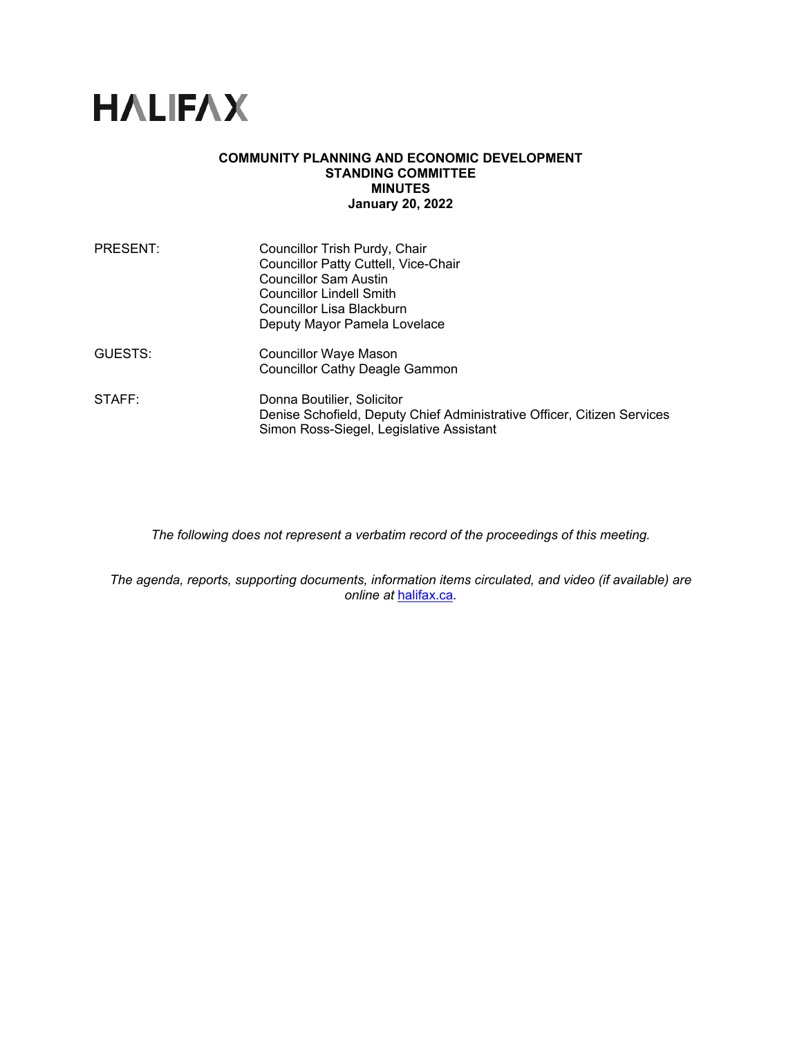# **HALIFAX**

#### **COMMUNITY PLANNING AND ECONOMIC DEVELOPMENT STANDING COMMITTEE MINUTES January 20, 2022**

| <b>PRESENT:</b> | Councillor Trish Purdy, Chair<br><b>Councillor Patty Cuttell, Vice-Chair</b><br><b>Councillor Sam Austin</b><br><b>Councillor Lindell Smith</b><br>Councillor Lisa Blackburn<br>Deputy Mayor Pamela Lovelace |
|-----------------|--------------------------------------------------------------------------------------------------------------------------------------------------------------------------------------------------------------|
| GUESTS:         | Councillor Waye Mason<br><b>Councillor Cathy Deagle Gammon</b>                                                                                                                                               |
| STAFF:          | Donna Boutilier, Solicitor<br>Denise Schofield, Deputy Chief Administrative Officer, Citizen Services<br>Simon Ross-Siegel, Legislative Assistant                                                            |

*The following does not represent a verbatim record of the proceedings of this meeting.* 

*The agenda, reports, supporting documents, information items circulated, and video (if available) are online at* halifax.ca*.*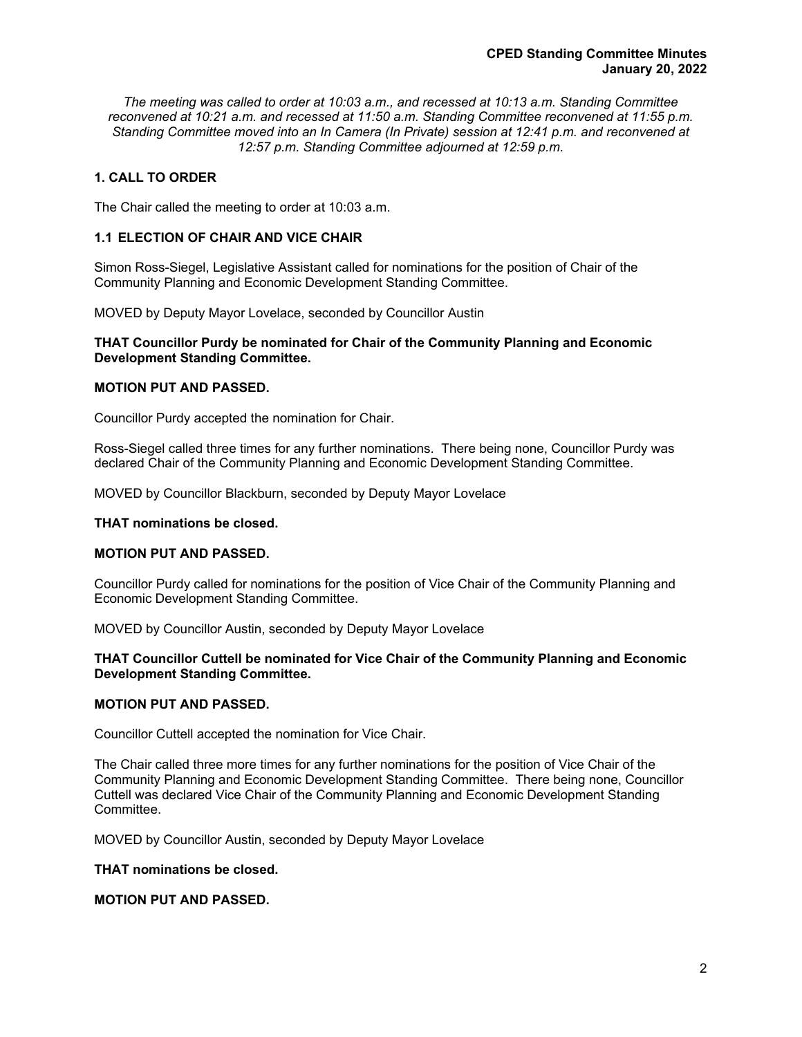*The meeting was called to order at 10:03 a.m., and recessed at 10:13 a.m. Standing Committee reconvened at 10:21 a.m. and recessed at 11:50 a.m. Standing Committee reconvened at 11:55 p.m. Standing Committee moved into an In Camera (In Private) session at 12:41 p.m. and reconvened at 12:57 p.m. Standing Committee adjourned at 12:59 p.m.* 

#### **1. CALL TO ORDER**

The Chair called the meeting to order at 10:03 a.m.

#### **1.1 ELECTION OF CHAIR AND VICE CHAIR**

Simon Ross-Siegel, Legislative Assistant called for nominations for the position of Chair of the Community Planning and Economic Development Standing Committee.

MOVED by Deputy Mayor Lovelace, seconded by Councillor Austin

#### **THAT Councillor Purdy be nominated for Chair of the Community Planning and Economic Development Standing Committee.**

#### **MOTION PUT AND PASSED.**

Councillor Purdy accepted the nomination for Chair.

Ross-Siegel called three times for any further nominations. There being none, Councillor Purdy was declared Chair of the Community Planning and Economic Development Standing Committee.

MOVED by Councillor Blackburn, seconded by Deputy Mayor Lovelace

#### **THAT nominations be closed.**

#### **MOTION PUT AND PASSED.**

Councillor Purdy called for nominations for the position of Vice Chair of the Community Planning and Economic Development Standing Committee.

MOVED by Councillor Austin, seconded by Deputy Mayor Lovelace

#### **THAT Councillor Cuttell be nominated for Vice Chair of the Community Planning and Economic Development Standing Committee.**

#### **MOTION PUT AND PASSED.**

Councillor Cuttell accepted the nomination for Vice Chair.

The Chair called three more times for any further nominations for the position of Vice Chair of the Community Planning and Economic Development Standing Committee. There being none, Councillor Cuttell was declared Vice Chair of the Community Planning and Economic Development Standing Committee.

MOVED by Councillor Austin, seconded by Deputy Mayor Lovelace

#### **THAT nominations be closed.**

#### **MOTION PUT AND PASSED.**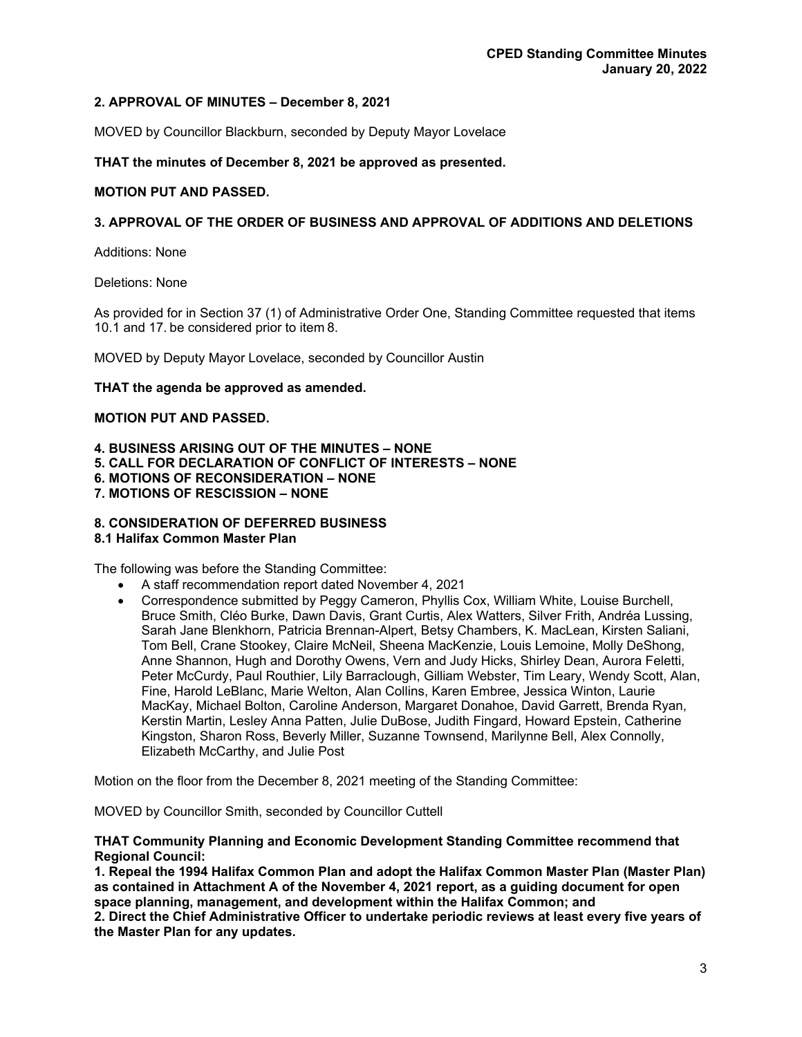#### **2. APPROVAL OF MINUTES – December 8, 2021**

MOVED by Councillor Blackburn, seconded by Deputy Mayor Lovelace

**THAT the minutes of December 8, 2021 be approved as presented.** 

#### **MOTION PUT AND PASSED.**

#### **3. APPROVAL OF THE ORDER OF BUSINESS AND APPROVAL OF ADDITIONS AND DELETIONS**

Additions: None

Deletions: None

As provided for in Section 37 (1) of Administrative Order One, Standing Committee requested that items 10.1 and 17. be considered prior to item 8.

MOVED by Deputy Mayor Lovelace, seconded by Councillor Austin

#### **THAT the agenda be approved as amended.**

#### **MOTION PUT AND PASSED.**

**4. BUSINESS ARISING OUT OF THE MINUTES – NONE 5. CALL FOR DECLARATION OF CONFLICT OF INTERESTS – NONE 6. MOTIONS OF RECONSIDERATION – NONE 7. MOTIONS OF RESCISSION – NONE** 

## **8. CONSIDERATION OF DEFERRED BUSINESS**

#### **8.1 Halifax Common Master Plan**

The following was before the Standing Committee:

- A staff recommendation report dated November 4, 2021
- Correspondence submitted by Peggy Cameron, Phyllis Cox, William White, Louise Burchell, Bruce Smith, Cléo Burke, Dawn Davis, Grant Curtis, Alex Watters, Silver Frith, Andréa Lussing, Sarah Jane Blenkhorn, Patricia Brennan-Alpert, Betsy Chambers, K. MacLean, Kirsten Saliani, Tom Bell, Crane Stookey, Claire McNeil, Sheena MacKenzie, Louis Lemoine, Molly DeShong, Anne Shannon, Hugh and Dorothy Owens, Vern and Judy Hicks, Shirley Dean, Aurora Feletti, Peter McCurdy, Paul Routhier, Lily Barraclough, Gilliam Webster, Tim Leary, Wendy Scott, Alan, Fine, Harold LeBlanc, Marie Welton, Alan Collins, Karen Embree, Jessica Winton, Laurie MacKay, Michael Bolton, Caroline Anderson, Margaret Donahoe, David Garrett, Brenda Ryan, Kerstin Martin, Lesley Anna Patten, Julie DuBose, Judith Fingard, Howard Epstein, Catherine Kingston, Sharon Ross, Beverly Miller, Suzanne Townsend, Marilynne Bell, Alex Connolly, Elizabeth McCarthy, and Julie Post

Motion on the floor from the December 8, 2021 meeting of the Standing Committee:

MOVED by Councillor Smith, seconded by Councillor Cuttell

#### **THAT Community Planning and Economic Development Standing Committee recommend that Regional Council:**

**1. Repeal the 1994 Halifax Common Plan and adopt the Halifax Common Master Plan (Master Plan) as contained in Attachment A of the November 4, 2021 report, as a guiding document for open space planning, management, and development within the Halifax Common; and** 

**2. Direct the Chief Administrative Officer to undertake periodic reviews at least every five years of the Master Plan for any updates.**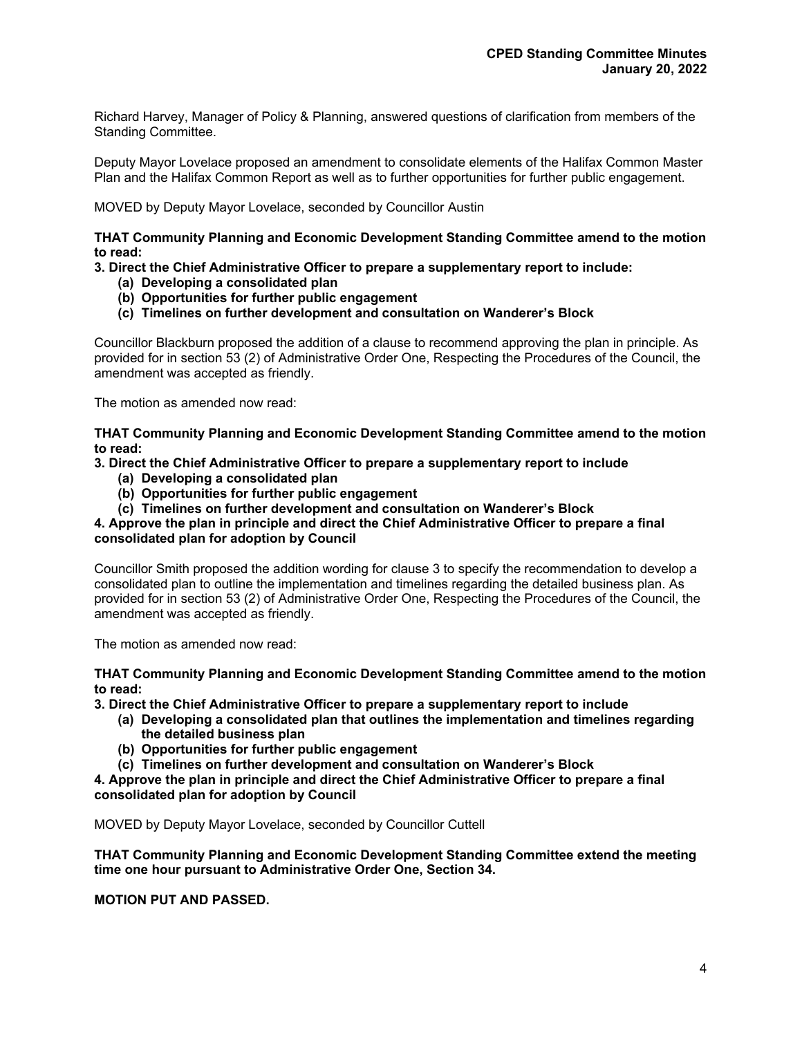Richard Harvey, Manager of Policy & Planning, answered questions of clarification from members of the Standing Committee.

Deputy Mayor Lovelace proposed an amendment to consolidate elements of the Halifax Common Master Plan and the Halifax Common Report as well as to further opportunities for further public engagement.

MOVED by Deputy Mayor Lovelace, seconded by Councillor Austin

#### **THAT Community Planning and Economic Development Standing Committee amend to the motion to read:**

#### **3. Direct the Chief Administrative Officer to prepare a supplementary report to include:**

- **(a) Developing a consolidated plan**
- **(b) Opportunities for further public engagement**
- **(c) Timelines on further development and consultation on Wanderer's Block**

Councillor Blackburn proposed the addition of a clause to recommend approving the plan in principle. As provided for in section 53 (2) of Administrative Order One, Respecting the Procedures of the Council, the amendment was accepted as friendly.

The motion as amended now read:

**THAT Community Planning and Economic Development Standing Committee amend to the motion to read:** 

**3. Direct the Chief Administrative Officer to prepare a supplementary report to include** 

- **(a) Developing a consolidated plan**
- **(b) Opportunities for further public engagement**
- **(c) Timelines on further development and consultation on Wanderer's Block**

#### **4. Approve the plan in principle and direct the Chief Administrative Officer to prepare a final consolidated plan for adoption by Council**

Councillor Smith proposed the addition wording for clause 3 to specify the recommendation to develop a consolidated plan to outline the implementation and timelines regarding the detailed business plan. As provided for in section 53 (2) of Administrative Order One, Respecting the Procedures of the Council, the amendment was accepted as friendly.

The motion as amended now read:

**THAT Community Planning and Economic Development Standing Committee amend to the motion to read:** 

**3. Direct the Chief Administrative Officer to prepare a supplementary report to include** 

- **(a) Developing a consolidated plan that outlines the implementation and timelines regarding the detailed business plan**
- **(b) Opportunities for further public engagement**
- **(c) Timelines on further development and consultation on Wanderer's Block**

**4. Approve the plan in principle and direct the Chief Administrative Officer to prepare a final consolidated plan for adoption by Council** 

MOVED by Deputy Mayor Lovelace, seconded by Councillor Cuttell

**THAT Community Planning and Economic Development Standing Committee extend the meeting time one hour pursuant to Administrative Order One, Section 34.** 

**MOTION PUT AND PASSED.**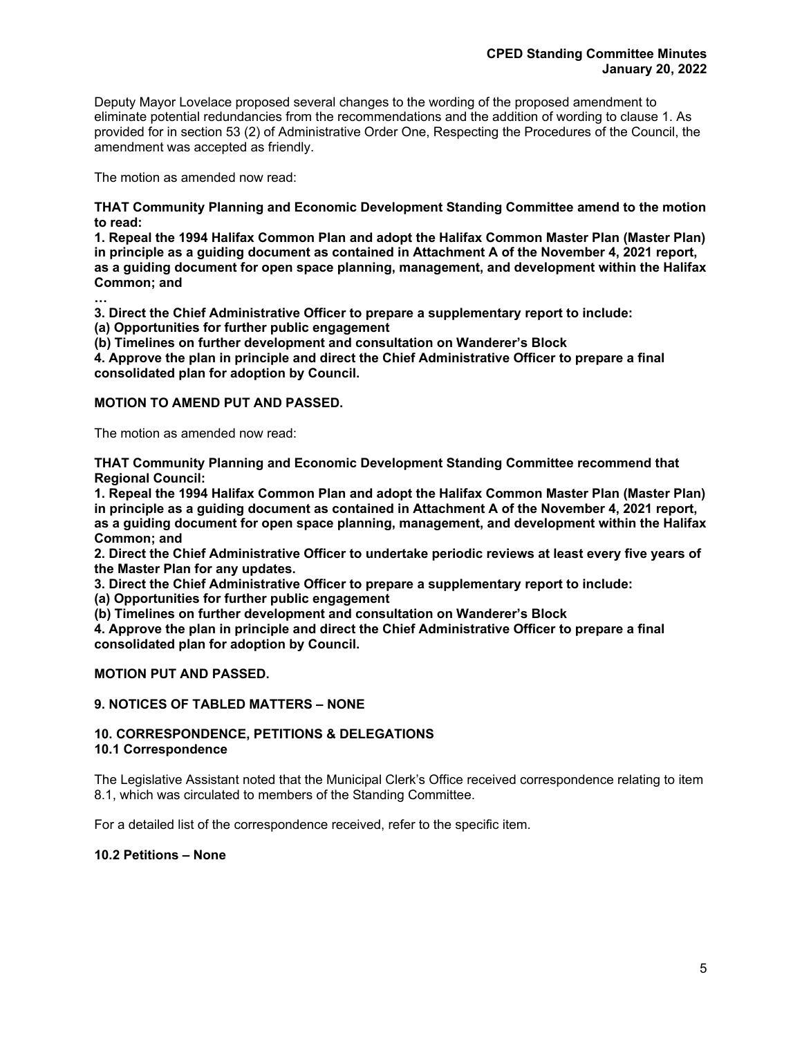Deputy Mayor Lovelace proposed several changes to the wording of the proposed amendment to eliminate potential redundancies from the recommendations and the addition of wording to clause 1. As provided for in section 53 (2) of Administrative Order One, Respecting the Procedures of the Council, the amendment was accepted as friendly.

The motion as amended now read:

**…** 

**THAT Community Planning and Economic Development Standing Committee amend to the motion to read:** 

**1. Repeal the 1994 Halifax Common Plan and adopt the Halifax Common Master Plan (Master Plan) in principle as a guiding document as contained in Attachment A of the November 4, 2021 report, as a guiding document for open space planning, management, and development within the Halifax Common; and** 

**3. Direct the Chief Administrative Officer to prepare a supplementary report to include:** 

**(a) Opportunities for further public engagement** 

**(b) Timelines on further development and consultation on Wanderer's Block** 

**4. Approve the plan in principle and direct the Chief Administrative Officer to prepare a final consolidated plan for adoption by Council.** 

#### **MOTION TO AMEND PUT AND PASSED.**

The motion as amended now read:

**THAT Community Planning and Economic Development Standing Committee recommend that Regional Council:** 

**1. Repeal the 1994 Halifax Common Plan and adopt the Halifax Common Master Plan (Master Plan) in principle as a guiding document as contained in Attachment A of the November 4, 2021 report, as a guiding document for open space planning, management, and development within the Halifax Common; and** 

**2. Direct the Chief Administrative Officer to undertake periodic reviews at least every five years of the Master Plan for any updates.** 

**3. Direct the Chief Administrative Officer to prepare a supplementary report to include:** 

**(a) Opportunities for further public engagement** 

**(b) Timelines on further development and consultation on Wanderer's Block** 

**4. Approve the plan in principle and direct the Chief Administrative Officer to prepare a final consolidated plan for adoption by Council.** 

#### **MOTION PUT AND PASSED.**

#### **9. NOTICES OF TABLED MATTERS – NONE**

# **10. CORRESPONDENCE, PETITIONS & DELEGATIONS**

#### **10.1 Correspondence**

The Legislative Assistant noted that the Municipal Clerk's Office received correspondence relating to item 8.1, which was circulated to members of the Standing Committee.

For a detailed list of the correspondence received, refer to the specific item.

#### **10.2 Petitions – None**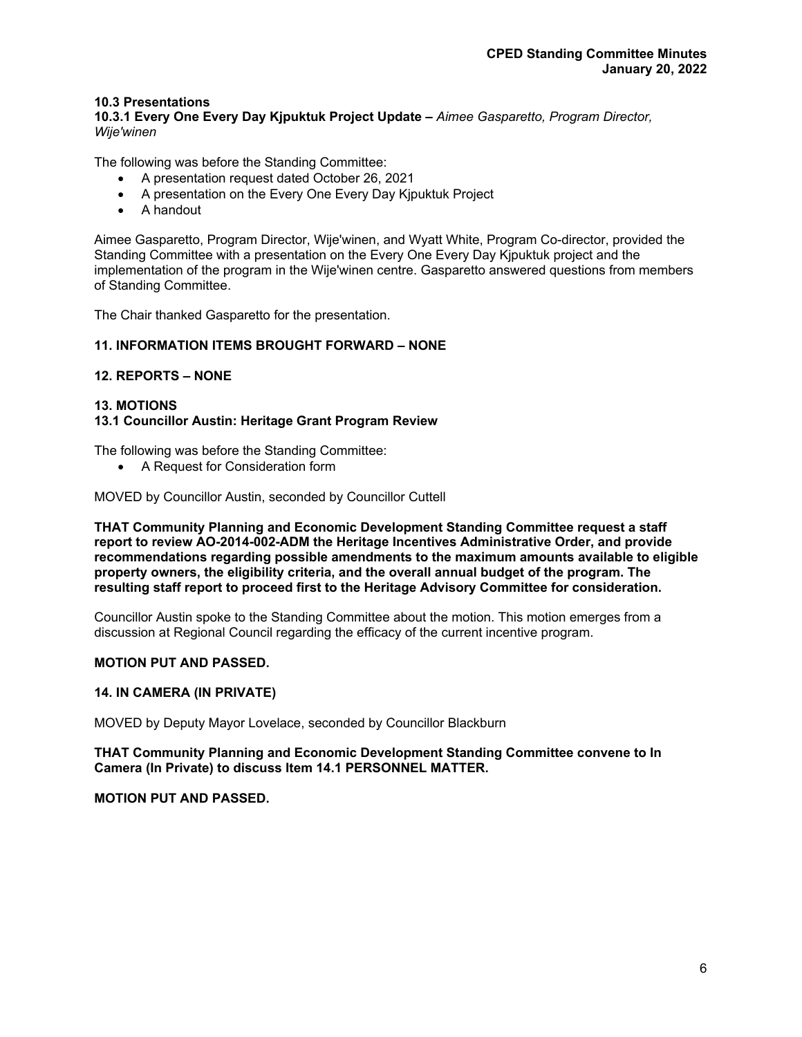#### **10.3 Presentations**

**10.3.1 Every One Every Day Kjpuktuk Project Update –** *Aimee Gasparetto, Program Director, Wije'winen* 

The following was before the Standing Committee:

- A presentation request dated October 26, 2021
- A presentation on the Every One Every Day Kjpuktuk Project
- A handout

Aimee Gasparetto, Program Director, Wije'winen, and Wyatt White, Program Co-director, provided the Standing Committee with a presentation on the Every One Every Day Kjpuktuk project and the implementation of the program in the Wije'winen centre. Gasparetto answered questions from members of Standing Committee.

The Chair thanked Gasparetto for the presentation.

#### **11. INFORMATION ITEMS BROUGHT FORWARD – NONE**

#### **12. REPORTS – NONE**

#### **13. MOTIONS 13.1 Councillor Austin: Heritage Grant Program Review**

The following was before the Standing Committee:

A Request for Consideration form

MOVED by Councillor Austin, seconded by Councillor Cuttell

**THAT Community Planning and Economic Development Standing Committee request a staff report to review AO-2014-002-ADM the Heritage Incentives Administrative Order, and provide recommendations regarding possible amendments to the maximum amounts available to eligible property owners, the eligibility criteria, and the overall annual budget of the program. The resulting staff report to proceed first to the Heritage Advisory Committee for consideration.** 

Councillor Austin spoke to the Standing Committee about the motion. This motion emerges from a discussion at Regional Council regarding the efficacy of the current incentive program.

#### **MOTION PUT AND PASSED.**

#### **14. IN CAMERA (IN PRIVATE)**

MOVED by Deputy Mayor Lovelace, seconded by Councillor Blackburn

**THAT Community Planning and Economic Development Standing Committee convene to In Camera (In Private) to discuss Item 14.1 PERSONNEL MATTER.** 

#### **MOTION PUT AND PASSED.**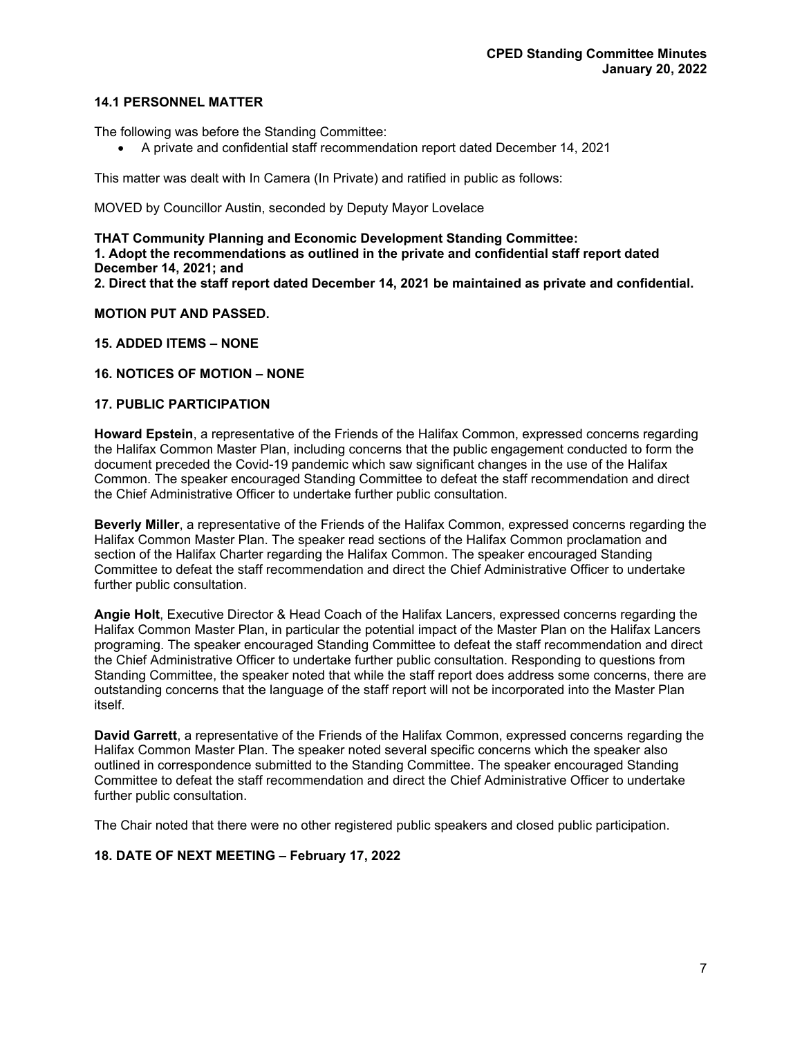#### **14.1 PERSONNEL MATTER**

The following was before the Standing Committee:

A private and confidential staff recommendation report dated December 14, 2021

This matter was dealt with In Camera (In Private) and ratified in public as follows:

MOVED by Councillor Austin, seconded by Deputy Mayor Lovelace

**THAT Community Planning and Economic Development Standing Committee: 1. Adopt the recommendations as outlined in the private and confidential staff report dated December 14, 2021; and 2. Direct that the staff report dated December 14, 2021 be maintained as private and confidential.** 

#### **MOTION PUT AND PASSED.**

**15. ADDED ITEMS – NONE** 

#### **16. NOTICES OF MOTION – NONE**

#### **17. PUBLIC PARTICIPATION**

**Howard Epstein**, a representative of the Friends of the Halifax Common, expressed concerns regarding the Halifax Common Master Plan, including concerns that the public engagement conducted to form the document preceded the Covid-19 pandemic which saw significant changes in the use of the Halifax Common. The speaker encouraged Standing Committee to defeat the staff recommendation and direct the Chief Administrative Officer to undertake further public consultation.

**Beverly Miller**, a representative of the Friends of the Halifax Common, expressed concerns regarding the Halifax Common Master Plan. The speaker read sections of the Halifax Common proclamation and section of the Halifax Charter regarding the Halifax Common. The speaker encouraged Standing Committee to defeat the staff recommendation and direct the Chief Administrative Officer to undertake further public consultation.

**Angie Holt**, Executive Director & Head Coach of the Halifax Lancers, expressed concerns regarding the Halifax Common Master Plan, in particular the potential impact of the Master Plan on the Halifax Lancers programing. The speaker encouraged Standing Committee to defeat the staff recommendation and direct the Chief Administrative Officer to undertake further public consultation. Responding to questions from Standing Committee, the speaker noted that while the staff report does address some concerns, there are outstanding concerns that the language of the staff report will not be incorporated into the Master Plan itself.

**David Garrett**, a representative of the Friends of the Halifax Common, expressed concerns regarding the Halifax Common Master Plan. The speaker noted several specific concerns which the speaker also outlined in correspondence submitted to the Standing Committee. The speaker encouraged Standing Committee to defeat the staff recommendation and direct the Chief Administrative Officer to undertake further public consultation.

The Chair noted that there were no other registered public speakers and closed public participation.

#### **18. DATE OF NEXT MEETING – February 17, 2022**